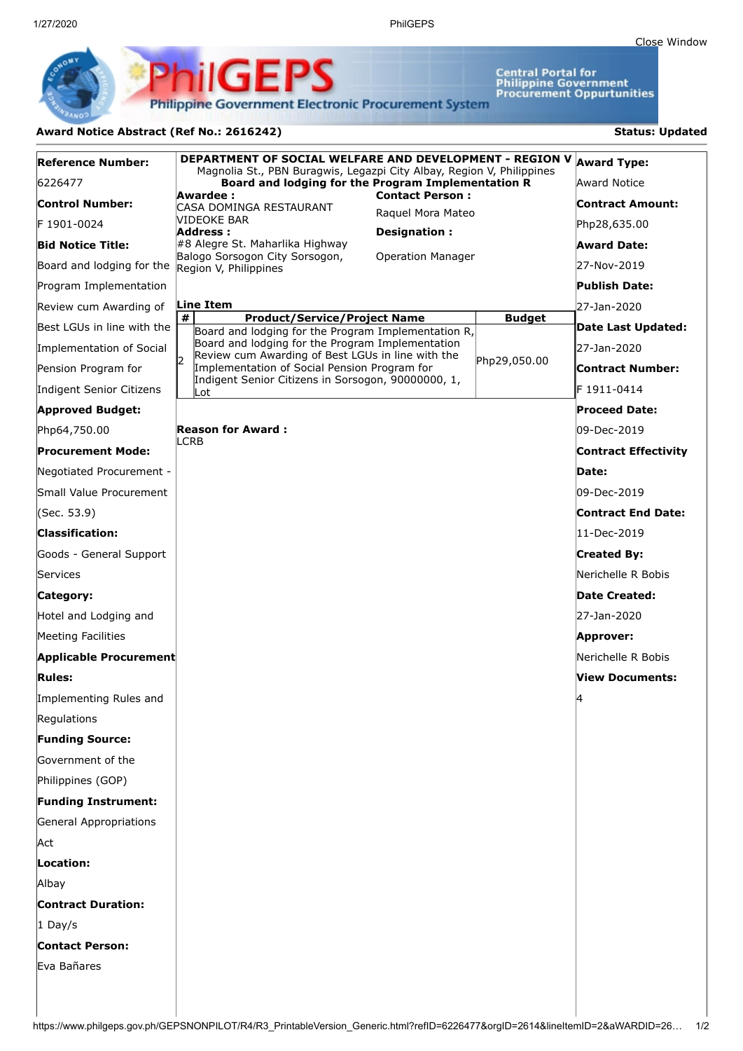Central Portal for<br>Philippine Government<br>Procurement Oppurtunities

**Philippine Government Electronic Procurement System** 

**ilGEPS** 

## Award Notice Abstract (Ref No.: 2616242) **Status: Updated**

| Reference Number:                               | DEPARTMENT OF SOCIAL WELFARE AND DEVELOPMENT - REGION V<br>Magnolia St., PBN Buragwis, Legazpi City Albay, Region V, Philippines | <b>Award Type:</b>                          |               |                             |
|-------------------------------------------------|----------------------------------------------------------------------------------------------------------------------------------|---------------------------------------------|---------------|-----------------------------|
| 6226477                                         | Board and lodging for the Program Implementation R                                                                               |                                             |               | <b>Award Notice</b>         |
| <b>Control Number:</b>                          | Awardee :<br>CASA DOMINGA RESTAURANT                                                                                             | <b>Contact Person:</b><br>Raquel Mora Mateo |               | Contract Amount:            |
| F 1901-0024                                     | NIDEOKE BAR<br>Address :                                                                                                         | Designation:                                |               | Php28,635.00                |
| <b>Bid Notice Title:</b>                        | #8 Alegre St. Maharlika Highway                                                                                                  |                                             |               | Award Date:                 |
| Board and lodging for the Region V, Philippines | Balogo Sorsogon City Sorsogon,                                                                                                   | <b>Operation Manager</b>                    |               | 27-Nov-2019                 |
| Program Implementation                          |                                                                                                                                  |                                             |               | Publish Date:               |
| Review cum Awarding of                          | Line Item                                                                                                                        |                                             |               | 27-Jan-2020                 |
| Best LGUs in line with the                      | #<br><b>Product/Service/Project Name</b><br>Board and lodging for the Program Implementation R,                                  |                                             | <b>Budget</b> | Date Last Updated:          |
| Implementation of Social                        | Board and lodging for the Program Implementation<br>Review cum Awarding of Best LGUs in line with the                            |                                             |               | 27-Jan-2020                 |
| Pension Program for                             | I2<br>Implementation of Social Pension Program for                                                                               |                                             | Php29,050.00  | Contract Number:            |
| Indigent Senior Citizens                        | Indigent Senior Citizens in Sorsogon, 90000000, 1,<br>lLot.                                                                      |                                             |               | F 1911-0414                 |
| <b>Approved Budget:</b>                         |                                                                                                                                  |                                             |               | <b>Proceed Date:</b>        |
| Php64,750.00                                    | <b>Reason for Award:</b>                                                                                                         |                                             |               | 09-Dec-2019                 |
| Procurement Mode:                               | LCRB                                                                                                                             |                                             |               | <b>Contract Effectivity</b> |
| Negotiated Procurement -                        |                                                                                                                                  |                                             |               | Date:                       |
| Small Value Procurement                         |                                                                                                                                  |                                             |               | 09-Dec-2019                 |
| (Sec. 53.9)                                     |                                                                                                                                  |                                             |               | Contract End Date:          |
| <b>Classification:</b>                          |                                                                                                                                  |                                             |               | 11-Dec-2019                 |
| Goods - General Support                         |                                                                                                                                  |                                             |               | <b>Created By:</b>          |
| Services                                        |                                                                                                                                  |                                             |               | Nerichelle R Bobis          |
| Category:                                       |                                                                                                                                  |                                             |               | Date Created:               |
| Hotel and Lodging and                           |                                                                                                                                  |                                             |               | 27-Jan-2020                 |
| Meeting Facilities                              |                                                                                                                                  |                                             |               | Approver:                   |
| Applicable Procurement                          |                                                                                                                                  |                                             |               | Nerichelle R Bobis          |
| <b>Rules:</b>                                   |                                                                                                                                  |                                             |               | <b>View Documents:</b>      |
| Implementing Rules and                          |                                                                                                                                  |                                             |               | 14                          |
| Regulations                                     |                                                                                                                                  |                                             |               |                             |
| <b>Funding Source:</b>                          |                                                                                                                                  |                                             |               |                             |
| Government of the                               |                                                                                                                                  |                                             |               |                             |
| Philippines (GOP)                               |                                                                                                                                  |                                             |               |                             |
| <b>Funding Instrument:</b>                      |                                                                                                                                  |                                             |               |                             |
| General Appropriations                          |                                                                                                                                  |                                             |               |                             |
| Act                                             |                                                                                                                                  |                                             |               |                             |
| Location:                                       |                                                                                                                                  |                                             |               |                             |
| Albay                                           |                                                                                                                                  |                                             |               |                             |
| <b>Contract Duration:</b>                       |                                                                                                                                  |                                             |               |                             |
| $1$ Day/s                                       |                                                                                                                                  |                                             |               |                             |
| <b>Contact Person:</b>                          |                                                                                                                                  |                                             |               |                             |
| Eva Bañares                                     |                                                                                                                                  |                                             |               |                             |
|                                                 |                                                                                                                                  |                                             |               |                             |
|                                                 |                                                                                                                                  |                                             |               |                             |